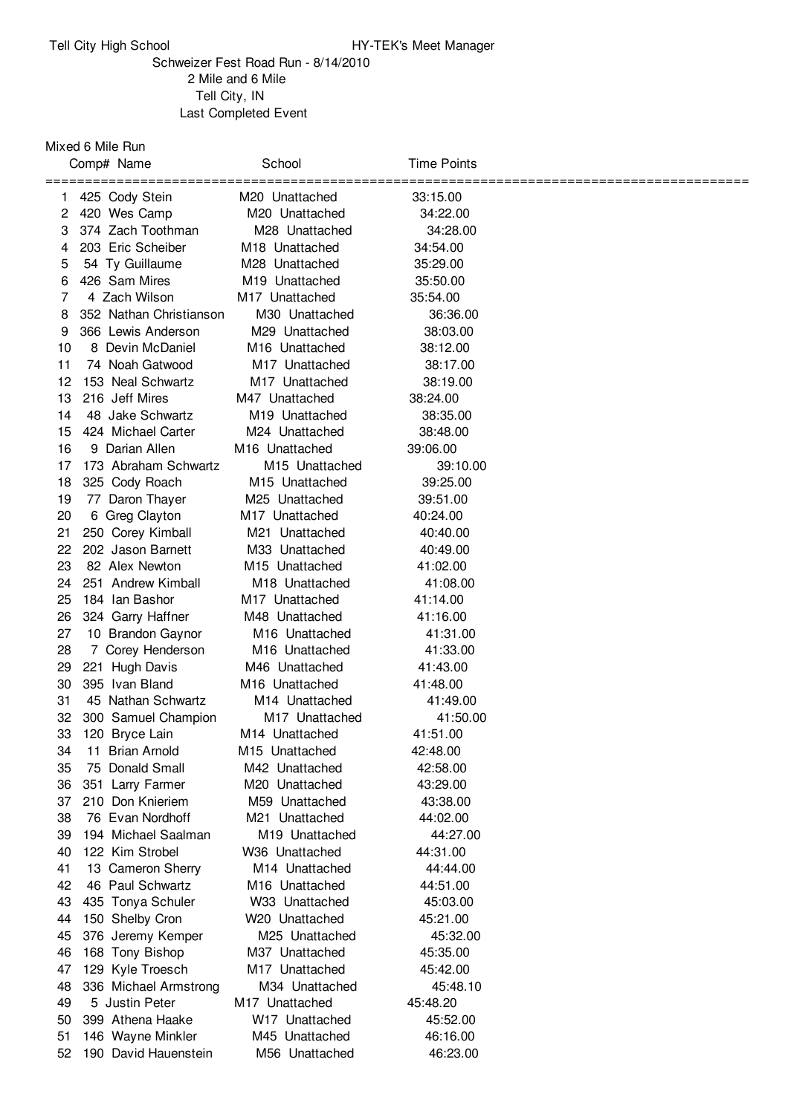## Tell City High School **HY-TEK's Meet Manager**

## Schweizer Fest Road Run - 8/14/2010 Mile and 6 Mile Tell City, IN Last Completed Event

Mixed 6 Mile Run

|    | Comp# Name              | School                                       | <b>Time Points</b> |  |
|----|-------------------------|----------------------------------------------|--------------------|--|
| 1. | 425 Cody Stein          | ==============<br>M <sub>20</sub> Unattached | =====<br>33:15.00  |  |
| 2  | 420 Wes Camp            | M20 Unattached                               | 34:22.00           |  |
| 3  | 374 Zach Toothman       | M28 Unattached                               | 34:28.00           |  |
| 4  | 203 Eric Scheiber       | M <sub>18</sub> Unattached                   | 34:54.00           |  |
| 5  | 54 Ty Guillaume         | M28 Unattached                               | 35:29.00           |  |
| 6  | 426 Sam Mires           | M <sub>19</sub> Unattached                   | 35:50.00           |  |
| 7  | 4 Zach Wilson           | M <sub>17</sub> Unattached                   | 35:54.00           |  |
| 8  | 352 Nathan Christianson | M30 Unattached                               | 36:36.00           |  |
| 9  | 366 Lewis Anderson      | M29 Unattached                               | 38:03.00           |  |
| 10 | 8 Devin McDaniel        | M <sub>16</sub> Unattached                   | 38:12.00           |  |
| 11 | 74 Noah Gatwood         | M17 Unattached                               | 38:17.00           |  |
| 12 | 153 Neal Schwartz       | M <sub>17</sub> Unattached                   | 38:19.00           |  |
| 13 | 216 Jeff Mires          | M47 Unattached                               | 38:24.00           |  |
| 14 | 48 Jake Schwartz        | M <sub>19</sub> Unattached                   | 38:35.00           |  |
| 15 | 424 Michael Carter      | M24 Unattached                               | 38:48.00           |  |
| 16 | 9 Darian Allen          | M <sub>16</sub> Unattached                   | 39:06.00           |  |
| 17 | 173 Abraham Schwartz    | M <sub>15</sub> Unattached                   | 39:10.00           |  |
| 18 | 325 Cody Roach          | M <sub>15</sub> Unattached                   | 39:25.00           |  |
| 19 | 77 Daron Thayer         | M25 Unattached                               | 39:51.00           |  |
| 20 | 6 Greg Clayton          | M <sub>17</sub> Unattached                   | 40:24.00           |  |
| 21 | 250 Corey Kimball       | M21 Unattached                               | 40:40.00           |  |
| 22 | 202 Jason Barnett       | M33 Unattached                               | 40:49.00           |  |
| 23 | 82 Alex Newton          | M <sub>15</sub> Unattached                   | 41:02.00           |  |
| 24 | 251 Andrew Kimball      | M <sub>18</sub> Unattached                   | 41:08.00           |  |
| 25 | 184 Ian Bashor          | M <sub>17</sub> Unattached                   | 41:14.00           |  |
| 26 | 324 Garry Haffner       | M48 Unattached                               | 41:16.00           |  |
| 27 | 10 Brandon Gaynor       | M <sub>16</sub> Unattached                   | 41:31.00           |  |
| 28 | 7 Corey Henderson       | M <sub>16</sub> Unattached                   | 41:33.00           |  |
| 29 | 221 Hugh Davis          | M46 Unattached                               | 41:43.00           |  |
| 30 | 395 Ivan Bland          | M <sub>16</sub> Unattached                   | 41:48.00           |  |
| 31 | 45 Nathan Schwartz      | M14 Unattached                               | 41:49.00           |  |
| 32 | 300 Samuel Champion     | M <sub>17</sub> Unattached                   | 41:50.00           |  |
| 33 | 120 Bryce Lain          | M14 Unattached                               | 41:51.00           |  |
| 34 | 11 Brian Arnold         | M <sub>15</sub> Unattached                   | 42:48.00           |  |
| 35 | 75 Donald Small         | M42 Unattached                               | 42:58.00           |  |
| 36 | 351 Larry Farmer        | M20 Unattached                               | 43:29.00           |  |
| 37 | 210 Don Knieriem        | M59 Unattached                               | 43:38.00           |  |
| 38 | 76 Evan Nordhoff        | M21 Unattached                               | 44:02.00           |  |
| 39 | 194 Michael Saalman     | M19 Unattached                               | 44:27.00           |  |
| 40 | 122 Kim Strobel         | W36 Unattached                               | 44:31.00           |  |
| 41 | 13 Cameron Sherry       | M <sub>14</sub> Unattached                   | 44:44.00           |  |
| 42 | 46 Paul Schwartz        | M <sub>16</sub> Unattached                   | 44:51.00           |  |
| 43 | 435 Tonya Schuler       | W33 Unattached                               | 45:03.00           |  |
| 44 | 150 Shelby Cron         | W20 Unattached                               | 45:21.00           |  |
| 45 | 376 Jeremy Kemper       | M25 Unattached                               | 45:32.00           |  |
| 46 | 168 Tony Bishop         | M37 Unattached                               | 45:35.00           |  |
| 47 | 129 Kyle Troesch        | M <sub>17</sub> Unattached                   | 45:42.00           |  |
| 48 | 336 Michael Armstrong   | M34 Unattached                               | 45:48.10           |  |
| 49 | 5 Justin Peter          | M <sub>17</sub> Unattached                   | 45:48.20           |  |
| 50 | 399 Athena Haake        | W <sub>17</sub> Unattached                   | 45:52.00           |  |
| 51 | 146 Wayne Minkler       | M45 Unattached                               | 46:16.00           |  |
| 52 | 190 David Hauenstein    | M56 Unattached                               | 46:23.00           |  |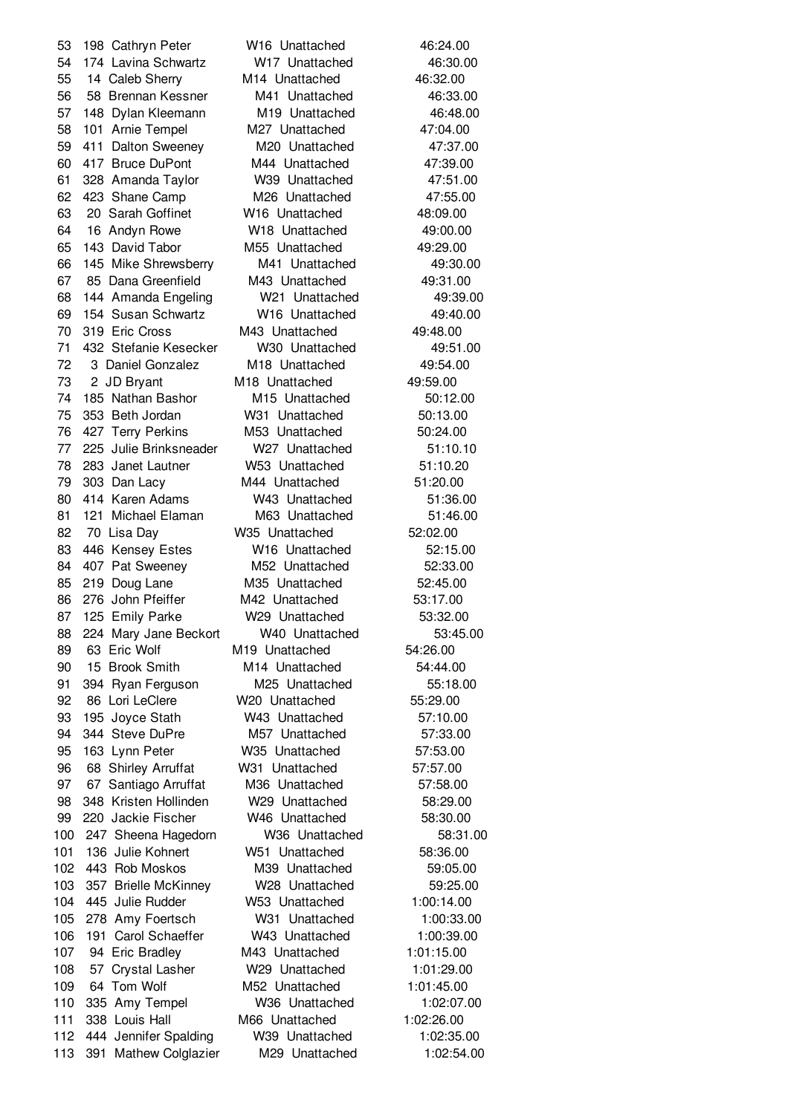198 Cathryn Peter W16 Unattached 46:24.00 174 Lavina Schwartz W17 Unattached 46:30.00 14 Caleb Sherry M14 Unattached 46:32.00 58 Brennan Kessner M41 Unattached 46:33.00 148 Dylan Kleemann M19 Unattached 46:48.00 101 Arnie Tempel M27 Unattached 47:04.00 411 Dalton Sweeney M20 Unattached 47:37.00 417 Bruce DuPont M44 Unattached 47:39.00 328 Amanda Taylor W39 Unattached 47:51.00 423 Shane Camp M26 Unattached 47:55.00 20 Sarah Goffinet W16 Unattached 48:09.00 16 Andyn Rowe W18 Unattached 49:00.00 143 David Tabor M55 Unattached 49:29.00 145 Mike Shrewsberry M41 Unattached 49:30.00 85 Dana Greenfield M43 Unattached 49:31.00 144 Amanda Engeling W21 Unattached 49:39.00 154 Susan Schwartz W16 Unattached 49:40.00 319 Eric Cross M43 Unattached 49:48.00 432 Stefanie Kesecker W30 Unattached 49:51.00 3 Daniel Gonzalez M18 Unattached 49:54.00 2 JD Bryant M18 Unattached 49:59.00 74 185 Nathan Bashor M15 Unattached 50:12.00 353 Beth Jordan W31 Unattached 50:13.00 427 Terry Perkins M53 Unattached 50:24.00 225 Julie Brinksneader W27 Unattached 51:10.10 283 Janet Lautner W53 Unattached 51:10.20 303 Dan Lacy M44 Unattached 51:20.00 414 Karen Adams W43 Unattached 51:36.00 121 Michael Elaman M63 Unattached 51:46.00 70 Lisa Day W35 Unattached 52:02.00 446 Kensey Estes W16 Unattached 52:15.00 407 Pat Sweeney M52 Unattached 52:33.00 219 Doug Lane M35 Unattached 52:45.00 86 276 John Pfeiffer M42 Unattached 53:17.00 125 Emily Parke W29 Unattached 53:32.00 224 Mary Jane Beckort W40 Unattached 53:45.00 63 Eric Wolf M19 Unattached 54:26.00 90 15 Brook Smith M14 Unattached 54:44.00 91 394 Ryan Ferguson M25 Unattached 55:18.00 86 Lori LeClere W20 Unattached 55:29.00 195 Joyce Stath W43 Unattached 57:10.00 344 Steve DuPre M57 Unattached 57:33.00 163 Lynn Peter W35 Unattached 57:53.00 68 Shirley Arruffat W31 Unattached 57:57.00 67 Santiago Arruffat M36 Unattached 57:58.00 348 Kristen Hollinden W29 Unattached 58:29.00 220 Jackie Fischer W46 Unattached 58:30.00 247 Sheena Hagedorn W36 Unattached 58:31.00 136 Julie Kohnert W51 Unattached 58:36.00 443 Rob Moskos M39 Unattached 59:05.00 357 Brielle McKinney W28 Unattached 59:25.00 445 Julie Rudder W53 Unattached 1:00:14.00 278 Amy Foertsch W31 Unattached 1:00:33.00 191 Carol Schaeffer W43 Unattached 1:00:39.00 94 Eric Bradley M43 Unattached 1:01:15.00 57 Crystal Lasher W29 Unattached 1:01:29.00 64 Tom Wolf M52 Unattached 1:01:45.00 335 Amy Tempel W36 Unattached 1:02:07.00 338 Louis Hall M66 Unattached 1:02:26.00 444 Jennifer Spalding W39 Unattached 1:02:35.00 391 Mathew Colglazier M29 Unattached 1:02:54.00